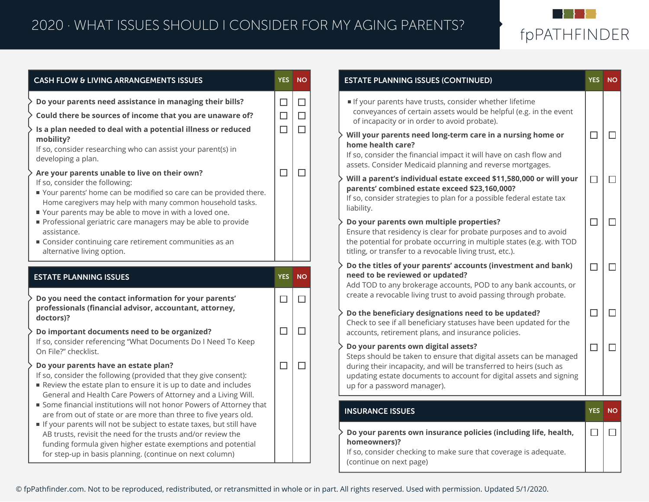

| <b>CASH FLOW &amp; LIVING ARRANGEMENTS ISSUES</b>                                                                                                                                                                                                                                        |                            | <b>YES</b> NO              | <b>ESTATE PLANNING ISSUES (CONTINUED)</b>                                                                                                                                                                                                                                                                                                                                                         | YES NO |
|------------------------------------------------------------------------------------------------------------------------------------------------------------------------------------------------------------------------------------------------------------------------------------------|----------------------------|----------------------------|---------------------------------------------------------------------------------------------------------------------------------------------------------------------------------------------------------------------------------------------------------------------------------------------------------------------------------------------------------------------------------------------------|--------|
| Do your parents need assistance in managing their bills?<br>Could there be sources of income that you are unaware of?<br>Is a plan needed to deal with a potential illness or reduced<br>mobility?<br>If so, consider researching who can assist your parent(s) in<br>developing a plan. | $\Box$<br>$\Box$<br>$\Box$ | $\Box$<br>$\Box$<br>$\Box$ | If your parents have trusts, consider whether lifetime<br>conveyances of certain assets would be helpful (e.g. in the event<br>of incapacity or in order to avoid probate).<br>Will your parents need long-term care in a nursing home or<br>home health care?<br>If so, consider the financial impact it will have on cash flow and<br>assets. Consider Medicaid planning and reverse mortgages. |        |
| Are your parents unable to live on their own?<br>If so, consider the following:<br>Your parents' home can be modified so care can be provided there.<br>Home caregivers may help with many common household tasks.<br>Your parents may be able to move in with a loved one.              | $\Box$                     | $\Box$                     | Will a parent's individual estate exceed \$11,580,000 or will your<br>parents' combined estate exceed \$23,160,000?<br>If so, consider strategies to plan for a possible federal estate tax<br>liability.                                                                                                                                                                                         |        |
| Professional geriatric care managers may be able to provide<br>assistance.<br>Consider continuing care retirement communities as an<br>alternative living option.                                                                                                                        |                            |                            | Do your parents own multiple properties?<br>Ensure that residency is clear for probate purposes and to avoid<br>the potential for probate occurring in multiple states (e.g. with TOD<br>titling, or transfer to a revocable living trust, etc.).                                                                                                                                                 |        |
| <b>ESTATE PLANNING ISSUES</b>                                                                                                                                                                                                                                                            | YES NO                     |                            | Do the titles of your parents' accounts (investment and bank)<br>need to be reviewed or updated?                                                                                                                                                                                                                                                                                                  |        |
| Do you need the contact information for your parents'<br>professionals (financial advisor, accountant, attorney,<br>doctors)?                                                                                                                                                            | $\Box$                     | $\Box$                     | Add TOD to any brokerage accounts, POD to any bank accounts, or<br>create a revocable living trust to avoid passing through probate.<br>Do the beneficiary designations need to be updated?                                                                                                                                                                                                       |        |
| Do important documents need to be organized?<br>If so, consider referencing "What Documents Do I Need To Keep<br>On File?" checklist.                                                                                                                                                    | $\Box$                     | $\Box$                     | Check to see if all beneficiary statuses have been updated for the<br>accounts, retirement plans, and insurance policies.<br>Do your parents own digital assets?                                                                                                                                                                                                                                  |        |
| Do your parents have an estate plan?<br>If so, consider the following (provided that they give consent):<br>Review the estate plan to ensure it is up to date and includes<br>General and Health Care Powers of Attorney and a Living Will.                                              | $\Box$                     | □                          | Steps should be taken to ensure that digital assets can be managed<br>during their incapacity, and will be transferred to heirs (such as<br>updating estate documents to account for digital assets and signing<br>up for a password manager).                                                                                                                                                    |        |
| Some financial institutions will not honor Powers of Attorney that<br>are from out of state or are more than three to five years old.                                                                                                                                                    |                            |                            | <b>INSURANCE ISSUES</b>                                                                                                                                                                                                                                                                                                                                                                           | YES NO |
| If your parents will not be subject to estate taxes, but still have<br>AB trusts, revisit the need for the trusts and/or review the<br>funding formula given higher estate exemptions and potential<br>for step-up in basis planning. (continue on next column)                          |                            |                            | Do your parents own insurance policies (including life, health,<br>homeowners)?<br>If so, consider checking to make sure that coverage is adequate.<br>(continue on next page)                                                                                                                                                                                                                    |        |